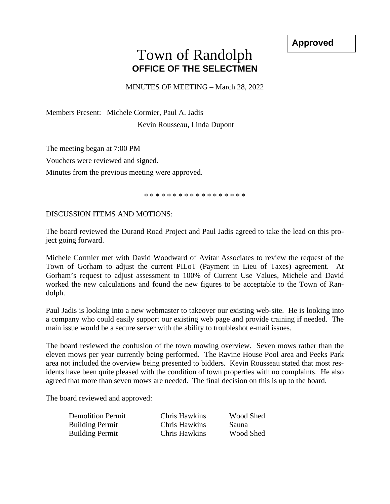**Approved**

## Town of Randolph **OFFICE OF THE SELECTMEN**

MINUTES OF MEETING – March 28, 2022

Members Present: Michele Cormier, Paul A. Jadis Kevin Rousseau, Linda Dupont

The meeting began at 7:00 PM

Vouchers were reviewed and signed.

Minutes from the previous meeting were approved.

\* \* \* \* \* \* \* \* \* \* \* \* \* \* \* \* \* \*

DISCUSSION ITEMS AND MOTIONS:

The board reviewed the Durand Road Project and Paul Jadis agreed to take the lead on this project going forward.

Michele Cormier met with David Woodward of Avitar Associates to review the request of the Town of Gorham to adjust the current PILoT (Payment in Lieu of Taxes) agreement. At Gorham's request to adjust assessment to 100% of Current Use Values, Michele and David worked the new calculations and found the new figures to be acceptable to the Town of Randolph.

Paul Jadis is looking into a new webmaster to takeover our existing web-site. He is looking into a company who could easily support our existing web page and provide training if needed. The main issue would be a secure server with the ability to troubleshot e-mail issues.

The board reviewed the confusion of the town mowing overview. Seven mows rather than the eleven mows per year currently being performed. The Ravine House Pool area and Peeks Park area not included the overview being presented to bidders. Kevin Rousseau stated that most residents have been quite pleased with the condition of town properties with no complaints. He also agreed that more than seven mows are needed. The final decision on this is up to the board.

The board reviewed and approved:

| <b>Demolition Permit</b> | Chris Hawkins | Wood Shed    |
|--------------------------|---------------|--------------|
| <b>Building Permit</b>   | Chris Hawkins | <b>Sauna</b> |
| <b>Building Permit</b>   | Chris Hawkins | Wood Shed    |